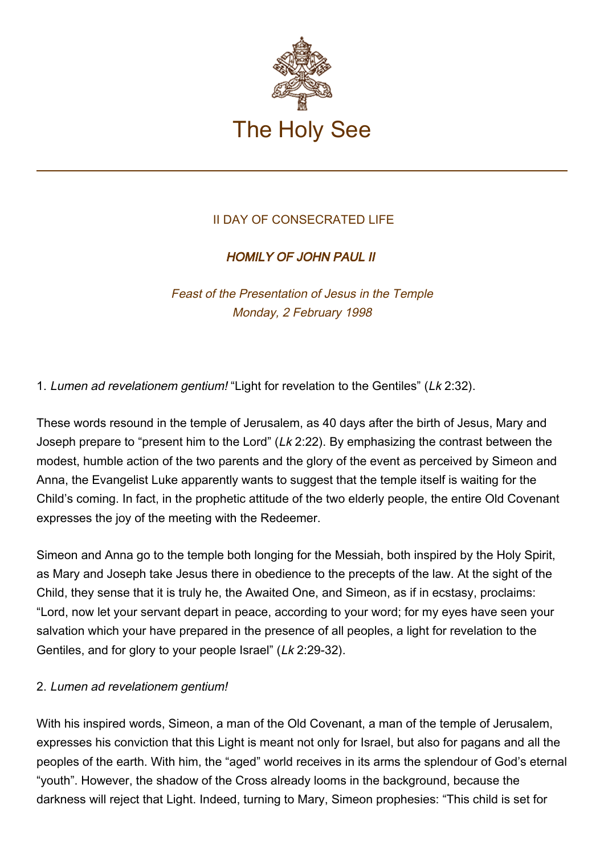

# II DAY OF CONSECRATED LIFE

# HOMILY OF JOHN PAUL II

Feast of the Presentation of Jesus in the Temple Monday, 2 February 1998

1. Lumen ad revelationem gentium! "Light for revelation to the Gentiles" (Lk 2:32).

These words resound in the temple of Jerusalem, as 40 days after the birth of Jesus, Mary and Joseph prepare to "present him to the Lord" (Lk 2:22). By emphasizing the contrast between the modest, humble action of the two parents and the glory of the event as perceived by Simeon and Anna, the Evangelist Luke apparently wants to suggest that the temple itself is waiting for the Child's coming. In fact, in the prophetic attitude of the two elderly people, the entire Old Covenant expresses the joy of the meeting with the Redeemer.

Simeon and Anna go to the temple both longing for the Messiah, both inspired by the Holy Spirit, as Mary and Joseph take Jesus there in obedience to the precepts of the law. At the sight of the Child, they sense that it is truly he, the Awaited One, and Simeon, as if in ecstasy, proclaims: "Lord, now let your servant depart in peace, according to your word; for my eyes have seen your salvation which your have prepared in the presence of all peoples, a light for revelation to the Gentiles, and for glory to your people Israel" (Lk 2:29-32).

### 2. Lumen ad revelationem gentium!

With his inspired words, Simeon, a man of the Old Covenant, a man of the temple of Jerusalem, expresses his conviction that this Light is meant not only for Israel, but also for pagans and all the peoples of the earth. With him, the "aged" world receives in its arms the splendour of God's eternal "youth". However, the shadow of the Cross already looms in the background, because the darkness will reject that Light. Indeed, turning to Mary, Simeon prophesies: "This child is set for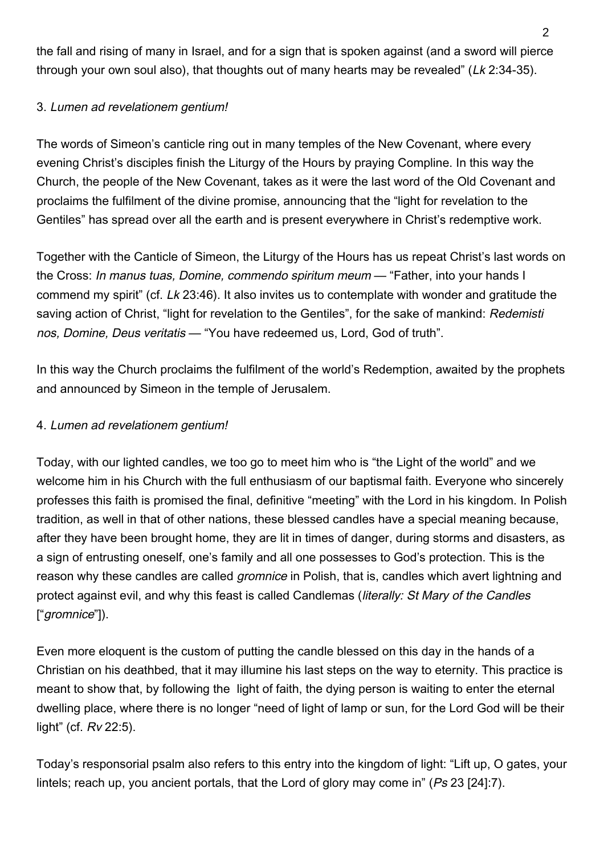the fall and rising of many in Israel, and for a sign that is spoken against (and a sword will pierce through your own soul also), that thoughts out of many hearts may be revealed" (Lk 2:34-35).

### 3. Lumen ad revelationem gentium!

The words of Simeon's canticle ring out in many temples of the New Covenant, where every evening Christ's disciples finish the Liturgy of the Hours by praying Compline. In this way the Church, the people of the New Covenant, takes as it were the last word of the Old Covenant and proclaims the fulfilment of the divine promise, announcing that the "light for revelation to the Gentiles" has spread over all the earth and is present everywhere in Christ's redemptive work.

Together with the Canticle of Simeon, the Liturgy of the Hours has us repeat Christ's last words on the Cross: In manus tuas, Domine, commendo spiritum meum — "Father, into your hands I commend my spirit" (cf. Lk 23:46). It also invites us to contemplate with wonder and gratitude the saving action of Christ, "light for revelation to the Gentiles", for the sake of mankind: Redemisti nos, Domine, Deus veritatis — "You have redeemed us, Lord, God of truth".

In this way the Church proclaims the fulfilment of the world's Redemption, awaited by the prophets and announced by Simeon in the temple of Jerusalem.

# 4. Lumen ad revelationem gentium!

Today, with our lighted candles, we too go to meet him who is "the Light of the world" and we welcome him in his Church with the full enthusiasm of our baptismal faith. Everyone who sincerely professes this faith is promised the final, definitive "meeting" with the Lord in his kingdom. In Polish tradition, as well in that of other nations, these blessed candles have a special meaning because, after they have been brought home, they are lit in times of danger, during storms and disasters, as a sign of entrusting oneself, one's family and all one possesses to God's protection. This is the reason why these candles are called *gromnice* in Polish, that is, candles which avert lightning and protect against evil, and why this feast is called Candlemas (literally: St Mary of the Candles ["gromnice"]).

Even more eloquent is the custom of putting the candle blessed on this day in the hands of a Christian on his deathbed, that it may illumine his last steps on the way to eternity. This practice is meant to show that, by following the light of faith, the dying person is waiting to enter the eternal dwelling place, where there is no longer "need of light of lamp or sun, for the Lord God will be their light" (cf. Rv 22:5).

Today's responsorial psalm also refers to this entry into the kingdom of light: "Lift up, O gates, your lintels; reach up, you ancient portals, that the Lord of glory may come in" (Ps 23 [24]:7).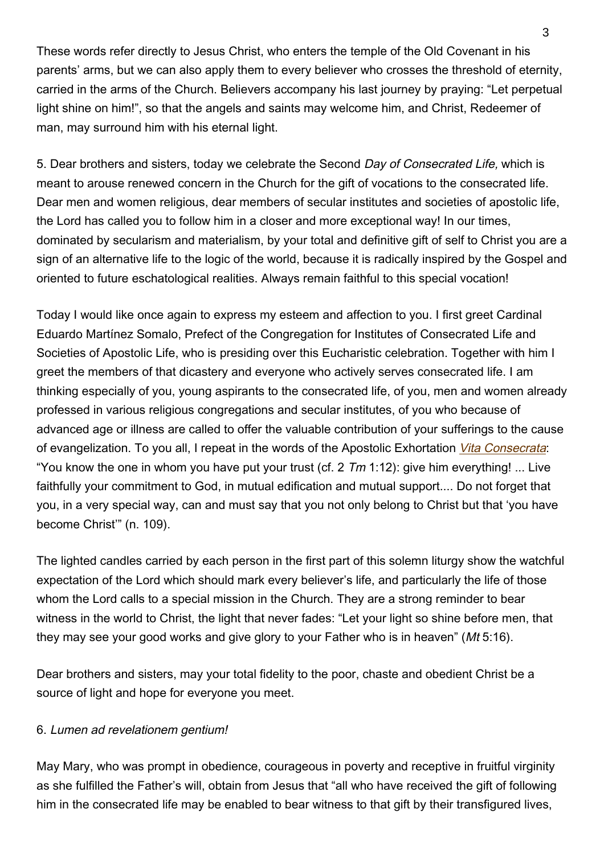These words refer directly to Jesus Christ, who enters the temple of the Old Covenant in his parents' arms, but we can also apply them to every believer who crosses the threshold of eternity, carried in the arms of the Church. Believers accompany his last journey by praying: "Let perpetual light shine on him!", so that the angels and saints may welcome him, and Christ, Redeemer of man, may surround him with his eternal light.

5. Dear brothers and sisters, today we celebrate the Second Day of Consecrated Life, which is meant to arouse renewed concern in the Church for the gift of vocations to the consecrated life. Dear men and women religious, dear members of secular institutes and societies of apostolic life, the Lord has called you to follow him in a closer and more exceptional way! In our times, dominated by secularism and materialism, by your total and definitive gift of self to Christ you are a sign of an alternative life to the logic of the world, because it is radically inspired by the Gospel and oriented to future eschatological realities. Always remain faithful to this special vocation!

Today I would like once again to express my esteem and affection to you. I first greet Cardinal Eduardo Martínez Somalo, Prefect of the Congregation for Institutes of Consecrated Life and Societies of Apostolic Life, who is presiding over this Eucharistic celebration. Together with him I greet the members of that dicastery and everyone who actively serves consecrated life. I am thinking especially of you, young aspirants to the consecrated life, of you, men and women already professed in various religious congregations and secular institutes, of you who because of advanced age or illness are called to offer the valuable contribution of your sufferings to the cause of evangelization. To you all, I repeat in the words of the Apostolic Exhortation [Vita Consecrata](http://w2.vatican.va/content/john-paul-ii/en/apost_exhortations/documents/hf_jp-ii_exh_25031996_vita-consecrata.html): "You know the one in whom you have put your trust (cf. 2  $Tm$  1:12): give him everything! ... Live faithfully your commitment to God, in mutual edification and mutual support.... Do not forget that you, in a very special way, can and must say that you not only belong to Christ but that 'you have become Christ'" (n. 109).

The lighted candles carried by each person in the first part of this solemn liturgy show the watchful expectation of the Lord which should mark every believer's life, and particularly the life of those whom the Lord calls to a special mission in the Church. They are a strong reminder to bear witness in the world to Christ, the light that never fades: "Let your light so shine before men, that they may see your good works and give glory to your Father who is in heaven" (Mt 5:16).

Dear brothers and sisters, may your total fidelity to the poor, chaste and obedient Christ be a source of light and hope for everyone you meet.

### 6. Lumen ad revelationem gentium!

May Mary, who was prompt in obedience, courageous in poverty and receptive in fruitful virginity as she fulfilled the Father's will, obtain from Jesus that "all who have received the gift of following him in the consecrated life may be enabled to bear witness to that gift by their transfigured lives,